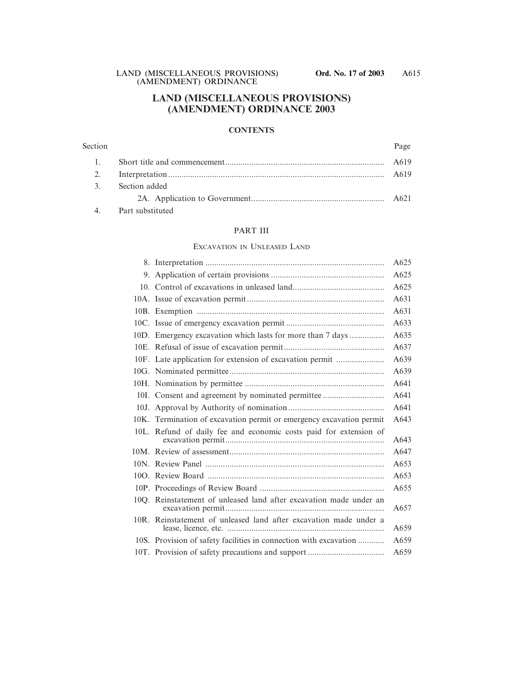### **LAND (MISCELLANEOUS PROVISIONS) (AMENDMENT) ORDINANCE 2003**

### **CONTENTS**

#### Section Page

|                     | A619 |
|---------------------|------|
|                     | A619 |
| 3. Section added    |      |
|                     | A621 |
| 4. Part substituted |      |

### PART III

#### EXCAVATION IN UNLEASED LAND

| 10D. Emergency excavation which lasts for more than 7 days           |
|----------------------------------------------------------------------|
|                                                                      |
| 10F. Late application for extension of excavation permit             |
|                                                                      |
|                                                                      |
| 10I. Consent and agreement by nominated permittee                    |
|                                                                      |
| 10K. Termination of excavation permit or emergency excavation permit |
| 10L. Refund of daily fee and economic costs paid for extension of    |
|                                                                      |
|                                                                      |
|                                                                      |
|                                                                      |
| 10Q. Reinstatement of unleased land after excavation made under an   |
| 10R. Reinstatement of unleased land after excavation made under a    |
| 10S. Provision of safety facilities in connection with excavation    |
|                                                                      |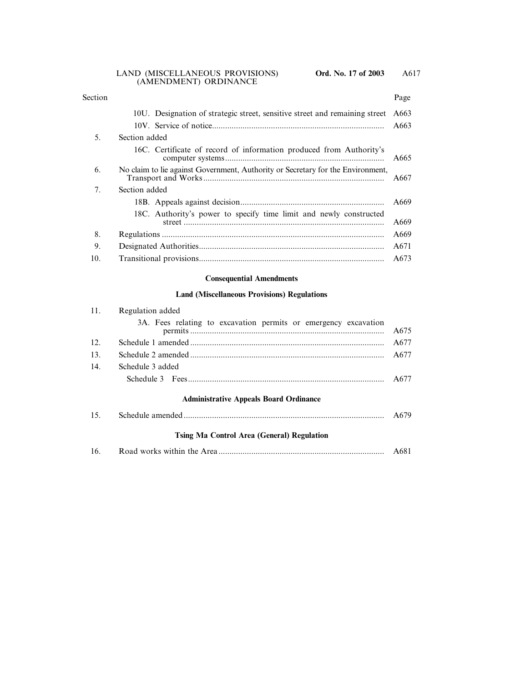| Section |                                                                                 | Page |
|---------|---------------------------------------------------------------------------------|------|
|         | 10U. Designation of strategic street, sensitive street and remaining street     | A663 |
|         |                                                                                 | A663 |
| 5.      | Section added                                                                   |      |
|         | 16C. Certificate of record of information produced from Authority's             | A665 |
| 6.      | No claim to lie against Government, Authority or Secretary for the Environment, | A667 |
| 7.      | Section added                                                                   |      |
|         |                                                                                 | A669 |
|         | 18C. Authority's power to specify time limit and newly constructed              | A669 |
| 8.      |                                                                                 | A669 |
| 9.      |                                                                                 | A671 |
| 10.     |                                                                                 | A673 |

### **Consequential Amendments**

### **Land (Miscellaneous Provisions) Regulations**

| 11. | Regulation added                                                |      |  |
|-----|-----------------------------------------------------------------|------|--|
|     | 3A. Fees relating to excavation permits or emergency excavation | A675 |  |
| 12. |                                                                 | A677 |  |
| 13. |                                                                 | A677 |  |
| 14. | Schedule 3 added                                                |      |  |
|     |                                                                 | A677 |  |
|     | <b>Administrative Appeals Board Ordinance</b>                   |      |  |
| 15. |                                                                 | A679 |  |
|     | <b>Tsing Ma Control Area (General) Regulation</b>               |      |  |
| 16. |                                                                 |      |  |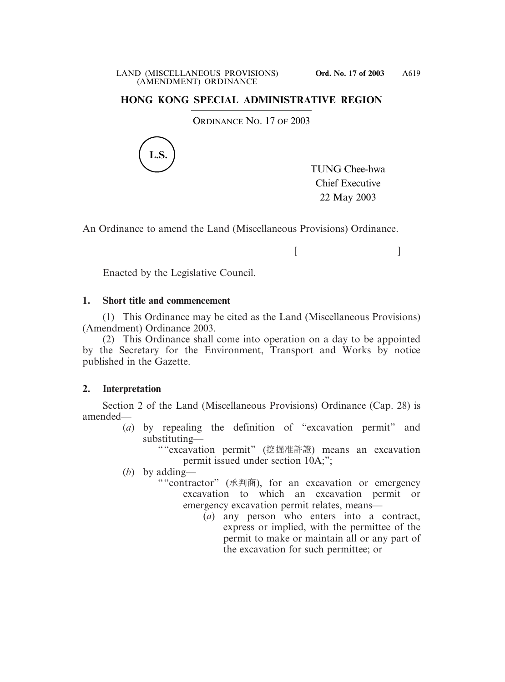# **HONG KONG SPECIAL ADMINISTRATIVE REGION**

ORDINANCE NO. 17 OF 2003



TUNG Chee-hwa Chief Executive 22 May 2003

 $[$   $]$ 

An Ordinance to amend the Land (Miscellaneous Provisions) Ordinance.

Enacted by the Legislative Council.

# **1. Short title and commencement**

(1) This Ordinance may be cited as the Land (Miscellaneous Provisions) (Amendment) Ordinance 2003.

(2) This Ordinance shall come into operation on a day to be appointed by the Secretary for the Environment, Transport and Works by notice published in the Gazette.

# **2. Interpretation**

Section 2 of the Land (Miscellaneous Provisions) Ordinance (Cap. 28) is amended—

(*a*) by repealing the definition of "excavation permit" and substituting—

""excavation permit" (挖掘准許證) means an excavation permit issued under section 10A;";

(*b*) by adding—

- ""contractor" (承判商), for an excavation or emergency excavation to which an excavation permit or emergency excavation permit relates, means—
	- (*a*) any person who enters into a contract, express or implied, with the permittee of the permit to make or maintain all or any part of the excavation for such permittee; or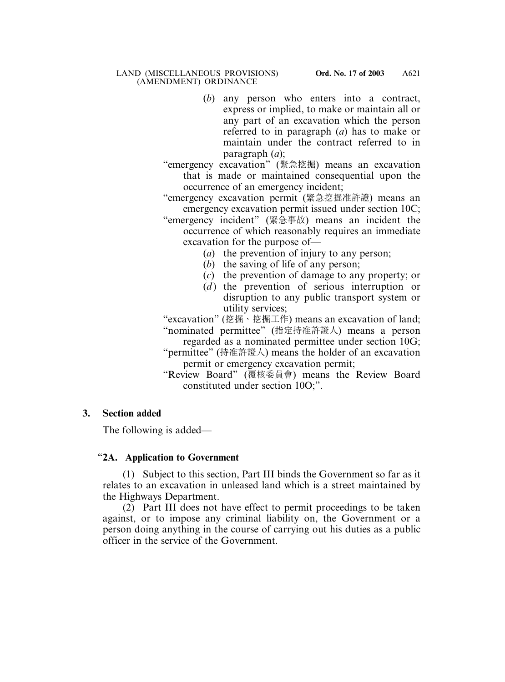- (*b*) any person who enters into a contract, express or implied, to make or maintain all or any part of an excavation which the person referred to in paragraph (*a*) has to make or maintain under the contract referred to in paragraph (*a*);
- "emergency excavation" (緊急挖掘) means an excavation that is made or maintained consequential upon the occurrence of an emergency incident;

"emergency excavation permit (緊急挖掘准許證) means an emergency excavation permit issued under section 10C;

- "emergency incident" (緊急事故) means an incident the occurrence of which reasonably requires an immediate excavation for the purpose of—
	- (*a*) the prevention of injury to any person;
	- (*b*) the saving of life of any person;
	- (*c*) the prevention of damage to any property; or
	- (*d*) the prevention of serious interruption or disruption to any public transport system or utility services;

"excavation" (挖掘、挖掘工作) means an excavation of land; "nominated permittee" (指定持准許證人) means a person

- regarded as a nominated permittee under section 10G;
- "permittee" (持准許證人) means the holder of an excavation permit or emergency excavation permit;

"Review Board" (覆核委員會) means the Review Board constituted under section 10O;".

# **3. Section added**

The following is added—

# "**2A. Application to Government**

(1) Subject to this section, Part III binds the Government so far as it relates to an excavation in unleased land which is a street maintained by the Highways Department.

(2) Part III does not have effect to permit proceedings to be taken against, or to impose any criminal liability on, the Government or a person doing anything in the course of carrying out his duties as a public officer in the service of the Government.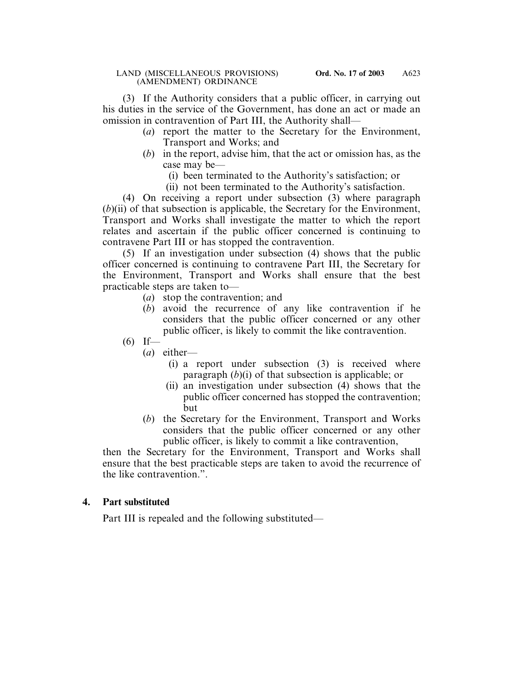(3) If the Authority considers that a public officer, in carrying out his duties in the service of the Government, has done an act or made an omission in contravention of Part III, the Authority shall—

- (*a*) report the matter to the Secretary for the Environment, Transport and Works; and
- (*b*) in the report, advise him, that the act or omission has, as the case may be—
	- (i) been terminated to the Authority's satisfaction; or
	- (ii) not been terminated to the Authority's satisfaction.

(4) On receiving a report under subsection (3) where paragraph (*b*)(ii) of that subsection is applicable, the Secretary for the Environment, Transport and Works shall investigate the matter to which the report relates and ascertain if the public officer concerned is continuing to contravene Part III or has stopped the contravention.

(5) If an investigation under subsection (4) shows that the public officer concerned is continuing to contravene Part III, the Secretary for the Environment, Transport and Works shall ensure that the best practicable steps are taken to—

- (*a*) stop the contravention; and
- (*b*) avoid the recurrence of any like contravention if he considers that the public officer concerned or any other public officer, is likely to commit the like contravention.
- $(6)$  If—
	- (*a*) either—
		- (i) a report under subsection (3) is received where paragraph (*b*)(i) of that subsection is applicable; or
		- (ii) an investigation under subsection (4) shows that the public officer concerned has stopped the contravention; but
	- (*b*) the Secretary for the Environment, Transport and Works considers that the public officer concerned or any other public officer, is likely to commit a like contravention,

then the Secretary for the Environment, Transport and Works shall ensure that the best practicable steps are taken to avoid the recurrence of the like contravention.".

# **4. Part substituted**

Part III is repealed and the following substituted—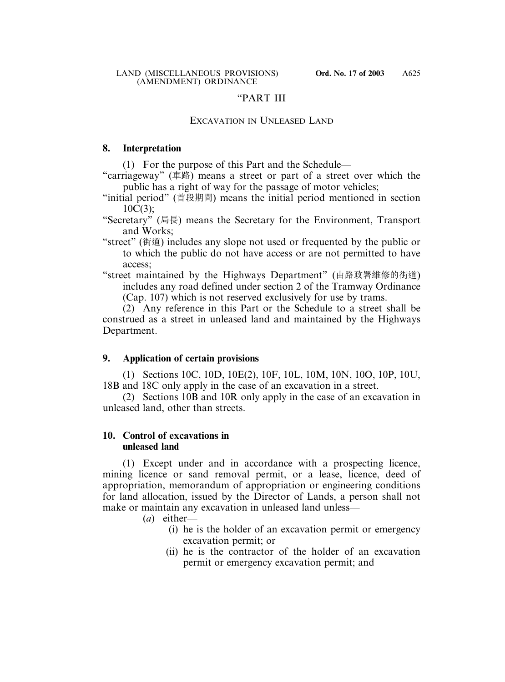### "PART III

# EXCAVATION IN UNLEASED LAND

### **8. Interpretation**

(1) For the purpose of this Part and the Schedule—

- "carriageway" (車路) means a street or part of a street over which the public has a right of way for the passage of motor vehicles;
- "initial period" (首段期間) means the initial period mentioned in section  $10C(3)$ :
- "Secretary" (局長) means the Secretary for the Environment, Transport and Works;
- "street" (街道) includes any slope not used or frequented by the public or to which the public do not have access or are not permitted to have access;
- "street maintained by the Highways Department" (由路政署維修的街道) includes any road defined under section 2 of the Tramway Ordinance (Cap. 107) which is not reserved exclusively for use by trams.

(2) Any reference in this Part or the Schedule to a street shall be construed as a street in unleased land and maintained by the Highways Department.

# **9. Application of certain provisions**

(1) Sections 10C, 10D, 10E(2), 10F, 10L, 10M, 10N, 10O, 10P, 10U, 18B and 18C only apply in the case of an excavation in a street.

(2) Sections 10B and 10R only apply in the case of an excavation in unleased land, other than streets.

### **10. Control of excavations in unleased land**

(1) Except under and in accordance with a prospecting licence, mining licence or sand removal permit, or a lease, licence, deed of appropriation, memorandum of appropriation or engineering conditions for land allocation, issued by the Director of Lands, a person shall not make or maintain any excavation in unleased land unless—

- (*a*) either—
	- (i) he is the holder of an excavation permit or emergency excavation permit; or
	- (ii) he is the contractor of the holder of an excavation permit or emergency excavation permit; and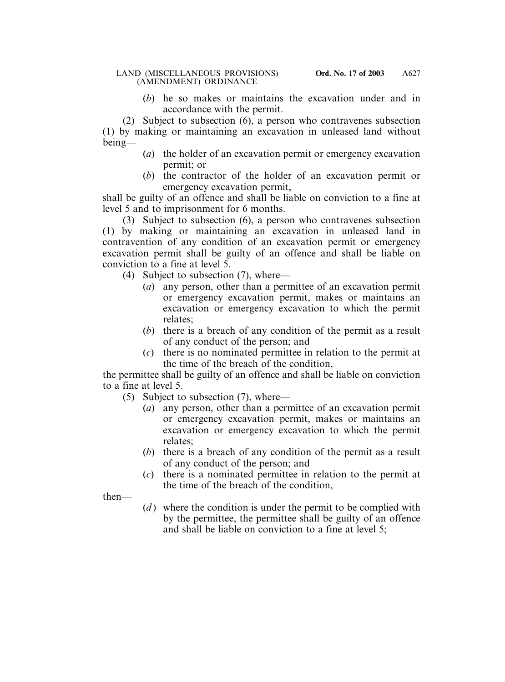(*b*) he so makes or maintains the excavation under and in accordance with the permit.

(2) Subject to subsection (6), a person who contravenes subsection (1) by making or maintaining an excavation in unleased land without being—

- (*a*) the holder of an excavation permit or emergency excavation permit; or
- (*b*) the contractor of the holder of an excavation permit or emergency excavation permit,

shall be guilty of an offence and shall be liable on conviction to a fine at level 5 and to imprisonment for 6 months.

(3) Subject to subsection (6), a person who contravenes subsection (1) by making or maintaining an excavation in unleased land in contravention of any condition of an excavation permit or emergency excavation permit shall be guilty of an offence and shall be liable on conviction to a fine at level 5.

(4) Subject to subsection (7), where—

- (*a*) any person, other than a permittee of an excavation permit or emergency excavation permit, makes or maintains an excavation or emergency excavation to which the permit relates;
- (*b*) there is a breach of any condition of the permit as a result of any conduct of the person; and
- (*c*) there is no nominated permittee in relation to the permit at the time of the breach of the condition,

the permittee shall be guilty of an offence and shall be liable on conviction to a fine at level 5.

- (5) Subject to subsection (7), where—
	- (*a*) any person, other than a permittee of an excavation permit or emergency excavation permit, makes or maintains an excavation or emergency excavation to which the permit relates;
	- (*b*) there is a breach of any condition of the permit as a result of any conduct of the person; and
	- (*c*) there is a nominated permittee in relation to the permit at the time of the breach of the condition,

then—

(*d*) where the condition is under the permit to be complied with by the permittee, the permittee shall be guilty of an offence and shall be liable on conviction to a fine at level 5;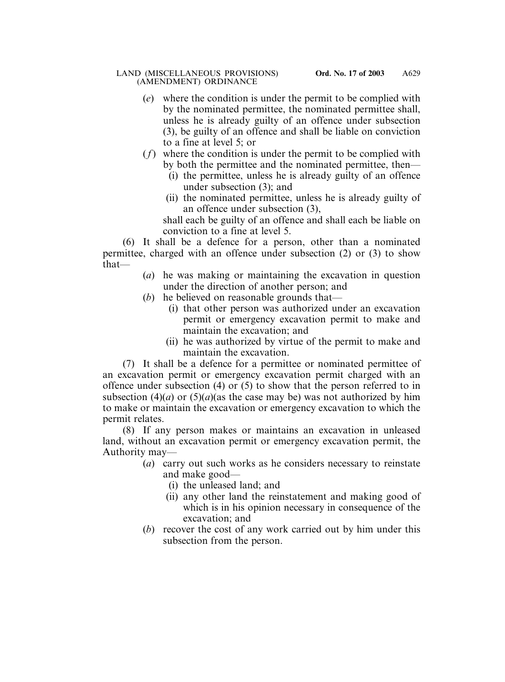- (*e*) where the condition is under the permit to be complied with by the nominated permittee, the nominated permittee shall, unless he is already guilty of an offence under subsection (3), be guilty of an offence and shall be liable on conviction to a fine at level 5; or
- (*f*) where the condition is under the permit to be complied with by both the permittee and the nominated permittee, then—
	- (i) the permittee, unless he is already guilty of an offence under subsection (3); and
	- (ii) the nominated permittee, unless he is already guilty of an offence under subsection (3),

shall each be guilty of an offence and shall each be liable on conviction to a fine at level 5.

(6) It shall be a defence for a person, other than a nominated permittee, charged with an offence under subsection (2) or (3) to show that—

- (*a*) he was making or maintaining the excavation in question under the direction of another person; and
- (*b*) he believed on reasonable grounds that—
	- (i) that other person was authorized under an excavation permit or emergency excavation permit to make and maintain the excavation; and
	- (ii) he was authorized by virtue of the permit to make and maintain the excavation.

(7) It shall be a defence for a permittee or nominated permittee of an excavation permit or emergency excavation permit charged with an offence under subsection (4) or (5) to show that the person referred to in subsection (4)(*a*) or (5)(*a*)(as the case may be) was not authorized by him to make or maintain the excavation or emergency excavation to which the permit relates.

(8) If any person makes or maintains an excavation in unleased land, without an excavation permit or emergency excavation permit, the Authority may—

- (*a*) carry out such works as he considers necessary to reinstate and make good—
	- (i) the unleased land; and
	- (ii) any other land the reinstatement and making good of which is in his opinion necessary in consequence of the excavation; and
- (*b*) recover the cost of any work carried out by him under this subsection from the person.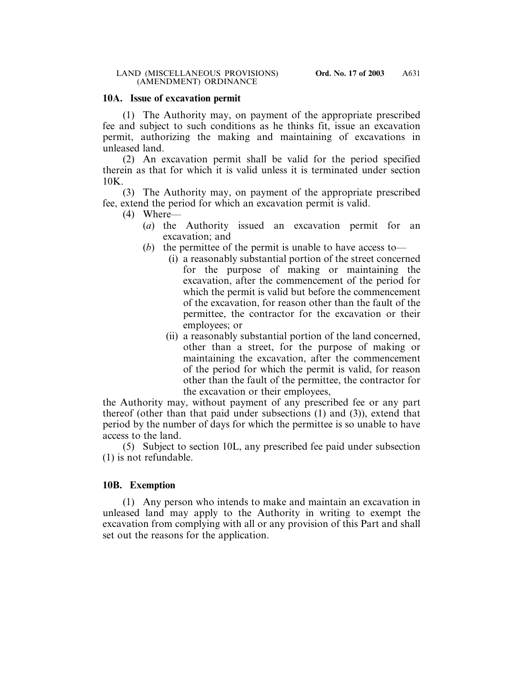### **10A. Issue of excavation permit**

(1) The Authority may, on payment of the appropriate prescribed fee and subject to such conditions as he thinks fit, issue an excavation permit, authorizing the making and maintaining of excavations in unleased land.

(2) An excavation permit shall be valid for the period specified therein as that for which it is valid unless it is terminated under section 10K.

(3) The Authority may, on payment of the appropriate prescribed fee, extend the period for which an excavation permit is valid.

- (4) Where—
	- (*a*) the Authority issued an excavation permit for an excavation; and
	- (*b*) the permittee of the permit is unable to have access to—
		- (i) a reasonably substantial portion of the street concerned for the purpose of making or maintaining the excavation, after the commencement of the period for which the permit is valid but before the commencement of the excavation, for reason other than the fault of the permittee, the contractor for the excavation or their employees; or
		- (ii) a reasonably substantial portion of the land concerned, other than a street, for the purpose of making or maintaining the excavation, after the commencement of the period for which the permit is valid, for reason other than the fault of the permittee, the contractor for the excavation or their employees,

the Authority may, without payment of any prescribed fee or any part thereof (other than that paid under subsections (1) and (3)), extend that period by the number of days for which the permittee is so unable to have access to the land.

(5) Subject to section 10L, any prescribed fee paid under subsection (1) is not refundable.

### **10B. Exemption**

(1) Any person who intends to make and maintain an excavation in unleased land may apply to the Authority in writing to exempt the excavation from complying with all or any provision of this Part and shall set out the reasons for the application.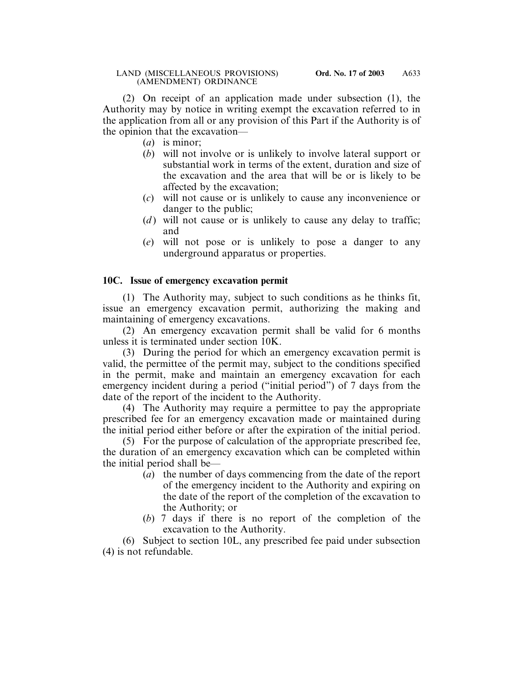(2) On receipt of an application made under subsection (1), the Authority may by notice in writing exempt the excavation referred to in the application from all or any provision of this Part if the Authority is of the opinion that the excavation—

- (*a*) is minor;
- (*b*) will not involve or is unlikely to involve lateral support or substantial work in terms of the extent, duration and size of the excavation and the area that will be or is likely to be affected by the excavation;
- (*c*) will not cause or is unlikely to cause any inconvenience or danger to the public;
- (*d*) will not cause or is unlikely to cause any delay to traffic; and
- (*e*) will not pose or is unlikely to pose a danger to any underground apparatus or properties.

### **10C. Issue of emergency excavation permit**

(1) The Authority may, subject to such conditions as he thinks fit, issue an emergency excavation permit, authorizing the making and maintaining of emergency excavations.

(2) An emergency excavation permit shall be valid for 6 months unless it is terminated under section 10K.

(3) During the period for which an emergency excavation permit is valid, the permittee of the permit may, subject to the conditions specified in the permit, make and maintain an emergency excavation for each emergency incident during a period ("initial period") of 7 days from the date of the report of the incident to the Authority.

(4) The Authority may require a permittee to pay the appropriate prescribed fee for an emergency excavation made or maintained during the initial period either before or after the expiration of the initial period.

(5) For the purpose of calculation of the appropriate prescribed fee, the duration of an emergency excavation which can be completed within the initial period shall be—

- (*a*) the number of days commencing from the date of the report of the emergency incident to the Authority and expiring on the date of the report of the completion of the excavation to the Authority; or
- (*b*) 7 days if there is no report of the completion of the excavation to the Authority.

(6) Subject to section 10L, any prescribed fee paid under subsection (4) is not refundable.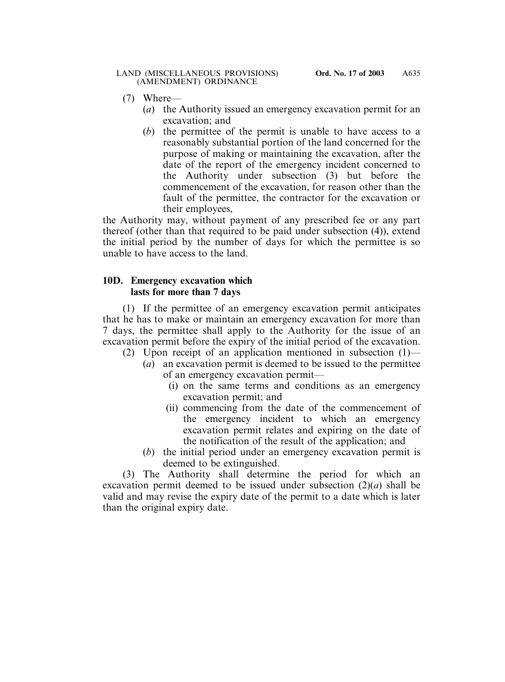- (7) Where—
	- (*a*) the Authority issued an emergency excavation permit for an excavation; and
	- (*b*) the permittee of the permit is unable to have access to a reasonably substantial portion of the land concerned for the purpose of making or maintaining the excavation, after the date of the report of the emergency incident concerned to the Authority under subsection (3) but before the commencement of the excavation, for reason other than the fault of the permittee, the contractor for the excavation or their employees,

the Authority may, without payment of any prescribed fee or any part thereof (other than that required to be paid under subsection (4)), extend the initial period by the number of days for which the permittee is so unable to have access to the land.

### **10D. Emergency excavation which lasts for more than 7 days**

(1) If the permittee of an emergency excavation permit anticipates that he has to make or maintain an emergency excavation for more than 7 days, the permittee shall apply to the Authority for the issue of an excavation permit before the expiry of the initial period of the excavation.

- (2) Upon receipt of an application mentioned in subsection (1)—
	- (*a*) an excavation permit is deemed to be issued to the permittee of an emergency excavation permit—
		- (i) on the same terms and conditions as an emergency excavation permit; and
		- (ii) commencing from the date of the commencement of the emergency incident to which an emergency excavation permit relates and expiring on the date of the notification of the result of the application; and
	- (*b*) the initial period under an emergency excavation permit is deemed to be extinguished.

(3) The Authority shall determine the period for which an excavation permit deemed to be issued under subsection (2)(*a*) shall be valid and may revise the expiry date of the permit to a date which is later than the original expiry date.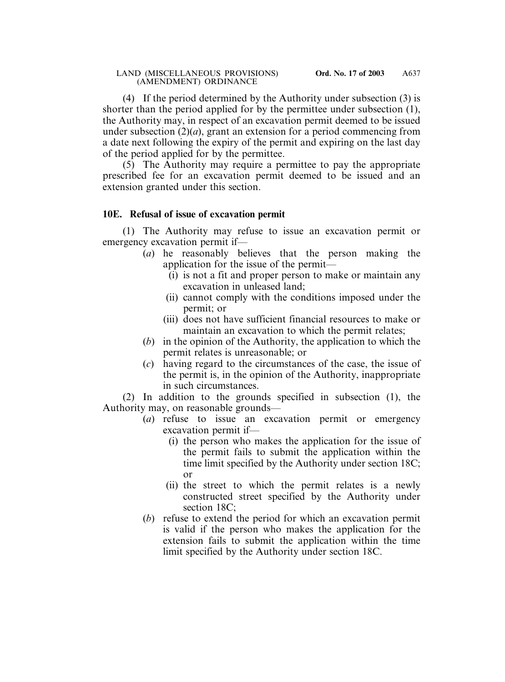(4) If the period determined by the Authority under subsection (3) is shorter than the period applied for by the permittee under subsection (1), the Authority may, in respect of an excavation permit deemed to be issued under subsection  $(2)(a)$ , grant an extension for a period commencing from a date next following the expiry of the permit and expiring on the last day of the period applied for by the permittee.

(5) The Authority may require a permittee to pay the appropriate prescribed fee for an excavation permit deemed to be issued and an extension granted under this section.

### **10E. Refusal of issue of excavation permit**

(1) The Authority may refuse to issue an excavation permit or emergency excavation permit if—

- (*a*) he reasonably believes that the person making the application for the issue of the permit—
	- (i) is not a fit and proper person to make or maintain any excavation in unleased land;
	- (ii) cannot comply with the conditions imposed under the permit; or
	- (iii) does not have sufficient financial resources to make or maintain an excavation to which the permit relates;
- (*b*) in the opinion of the Authority, the application to which the permit relates is unreasonable; or
- (*c*) having regard to the circumstances of the case, the issue of the permit is, in the opinion of the Authority, inappropriate in such circumstances.

(2) In addition to the grounds specified in subsection (1), the Authority may, on reasonable grounds—

- (*a*) refuse to issue an excavation permit or emergency excavation permit if—
	- (i) the person who makes the application for the issue of the permit fails to submit the application within the time limit specified by the Authority under section 18C; or
	- (ii) the street to which the permit relates is a newly constructed street specified by the Authority under section 18C;
- (*b*) refuse to extend the period for which an excavation permit is valid if the person who makes the application for the extension fails to submit the application within the time limit specified by the Authority under section 18C.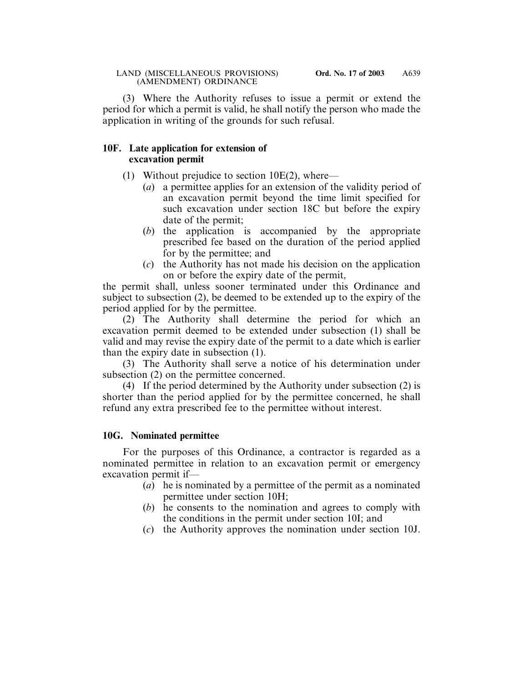(3) Where the Authority refuses to issue a permit or extend the period for which a permit is valid, he shall notify the person who made the application in writing of the grounds for such refusal.

### **10F. Late application for extension of excavation permit**

- (1) Without prejudice to section  $10E(2)$ , where—
	- (*a*) a permittee applies for an extension of the validity period of an excavation permit beyond the time limit specified for such excavation under section 18C but before the expiry date of the permit;
	- (*b*) the application is accompanied by the appropriate prescribed fee based on the duration of the period applied for by the permittee; and
	- (*c*) the Authority has not made his decision on the application on or before the expiry date of the permit,

the permit shall, unless sooner terminated under this Ordinance and subject to subsection (2), be deemed to be extended up to the expiry of the period applied for by the permittee.

(2) The Authority shall determine the period for which an excavation permit deemed to be extended under subsection (1) shall be valid and may revise the expiry date of the permit to a date which is earlier than the expiry date in subsection (1).

(3) The Authority shall serve a notice of his determination under subsection (2) on the permittee concerned.

(4) If the period determined by the Authority under subsection (2) is shorter than the period applied for by the permittee concerned, he shall refund any extra prescribed fee to the permittee without interest.

# **10G. Nominated permittee**

For the purposes of this Ordinance, a contractor is regarded as a nominated permittee in relation to an excavation permit or emergency excavation permit if—

- (*a*) he is nominated by a permittee of the permit as a nominated permittee under section 10H;
- (*b*) he consents to the nomination and agrees to comply with the conditions in the permit under section 10I; and
- (*c*) the Authority approves the nomination under section 10J.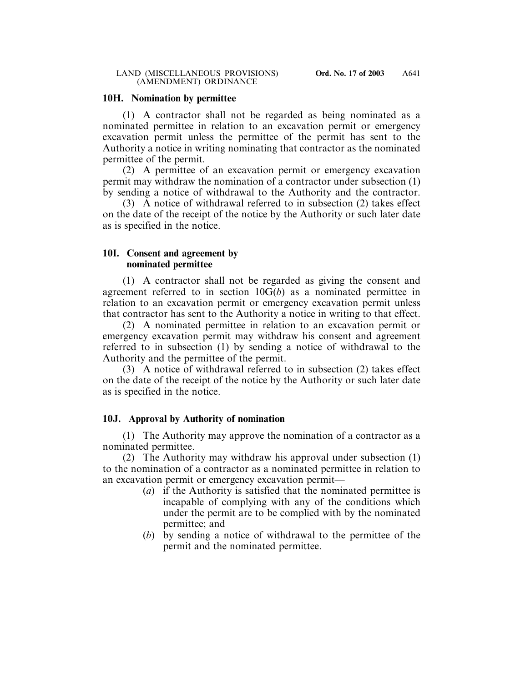### **10H. Nomination by permittee**

(1) A contractor shall not be regarded as being nominated as a nominated permittee in relation to an excavation permit or emergency excavation permit unless the permittee of the permit has sent to the Authority a notice in writing nominating that contractor as the nominated permittee of the permit.

(2) A permittee of an excavation permit or emergency excavation permit may withdraw the nomination of a contractor under subsection (1) by sending a notice of withdrawal to the Authority and the contractor.

(3) A notice of withdrawal referred to in subsection (2) takes effect on the date of the receipt of the notice by the Authority or such later date as is specified in the notice.

### **10I. Consent and agreement by nominated permittee**

(1) A contractor shall not be regarded as giving the consent and agreement referred to in section 10G(*b*) as a nominated permittee in relation to an excavation permit or emergency excavation permit unless that contractor has sent to the Authority a notice in writing to that effect.

(2) A nominated permittee in relation to an excavation permit or emergency excavation permit may withdraw his consent and agreement referred to in subsection (1) by sending a notice of withdrawal to the Authority and the permittee of the permit.

(3) A notice of withdrawal referred to in subsection (2) takes effect on the date of the receipt of the notice by the Authority or such later date as is specified in the notice.

# **10J. Approval by Authority of nomination**

(1) The Authority may approve the nomination of a contractor as a nominated permittee.

(2) The Authority may withdraw his approval under subsection (1) to the nomination of a contractor as a nominated permittee in relation to an excavation permit or emergency excavation permit—

- (*a*) if the Authority is satisfied that the nominated permittee is incapable of complying with any of the conditions which under the permit are to be complied with by the nominated permittee; and
- (*b*) by sending a notice of withdrawal to the permittee of the permit and the nominated permittee.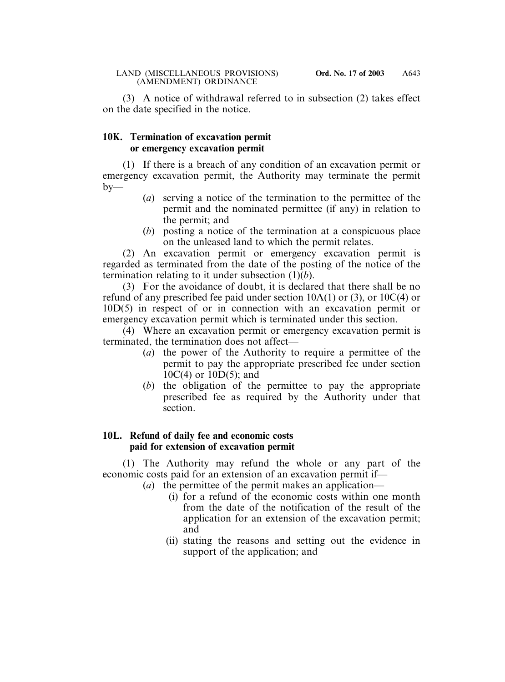(3) A notice of withdrawal referred to in subsection (2) takes effect on the date specified in the notice.

### **10K. Termination of excavation permit or emergency excavation permit**

(1) If there is a breach of any condition of an excavation permit or emergency excavation permit, the Authority may terminate the permit  $b$ v—

- (*a*) serving a notice of the termination to the permittee of the permit and the nominated permittee (if any) in relation to the permit; and
- (*b*) posting a notice of the termination at a conspicuous place on the unleased land to which the permit relates.

(2) An excavation permit or emergency excavation permit is regarded as terminated from the date of the posting of the notice of the termination relating to it under subsection (1)(*b*).

(3) For the avoidance of doubt, it is declared that there shall be no refund of any prescribed fee paid under section  $10A(1)$  or  $(3)$ , or  $10C(4)$  or 10D(5) in respect of or in connection with an excavation permit or emergency excavation permit which is terminated under this section.

(4) Where an excavation permit or emergency excavation permit is terminated, the termination does not affect—

- (*a*) the power of the Authority to require a permittee of the permit to pay the appropriate prescribed fee under section 10C(4) or 10D(5); and
- (*b*) the obligation of the permittee to pay the appropriate prescribed fee as required by the Authority under that section.

### **10L. Refund of daily fee and economic costs paid for extension of excavation permit**

(1) The Authority may refund the whole or any part of the economic costs paid for an extension of an excavation permit if—

- (*a*) the permittee of the permit makes an application—
	- (i) for a refund of the economic costs within one month from the date of the notification of the result of the application for an extension of the excavation permit; and
	- (ii) stating the reasons and setting out the evidence in support of the application; and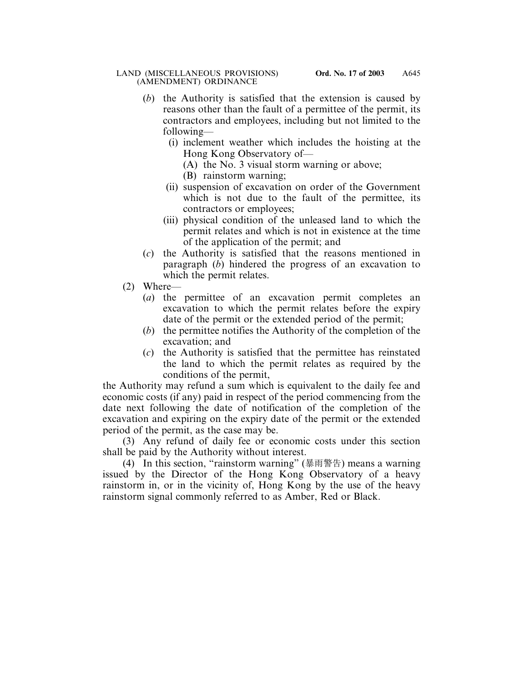- (*b*) the Authority is satisfied that the extension is caused by reasons other than the fault of a permittee of the permit, its contractors and employees, including but not limited to the following—
	- (i) inclement weather which includes the hoisting at the Hong Kong Observatory of—
		- (A) the No. 3 visual storm warning or above;
		- (B) rainstorm warning;
	- (ii) suspension of excavation on order of the Government which is not due to the fault of the permittee, its contractors or employees;
	- (iii) physical condition of the unleased land to which the permit relates and which is not in existence at the time of the application of the permit; and
- (*c*) the Authority is satisfied that the reasons mentioned in paragraph (*b*) hindered the progress of an excavation to which the permit relates.
- (2) Where—
	- (*a*) the permittee of an excavation permit completes an excavation to which the permit relates before the expiry date of the permit or the extended period of the permit;
	- (*b*) the permittee notifies the Authority of the completion of the excavation; and
	- (*c*) the Authority is satisfied that the permittee has reinstated the land to which the permit relates as required by the conditions of the permit,

the Authority may refund a sum which is equivalent to the daily fee and economic costs (if any) paid in respect of the period commencing from the date next following the date of notification of the completion of the excavation and expiring on the expiry date of the permit or the extended period of the permit, as the case may be.

(3) Any refund of daily fee or economic costs under this section shall be paid by the Authority without interest.

(4) In this section, "rainstorm warning" (暴雨警告) means a warning issued by the Director of the Hong Kong Observatory of a heavy rainstorm in, or in the vicinity of, Hong Kong by the use of the heavy rainstorm signal commonly referred to as Amber, Red or Black.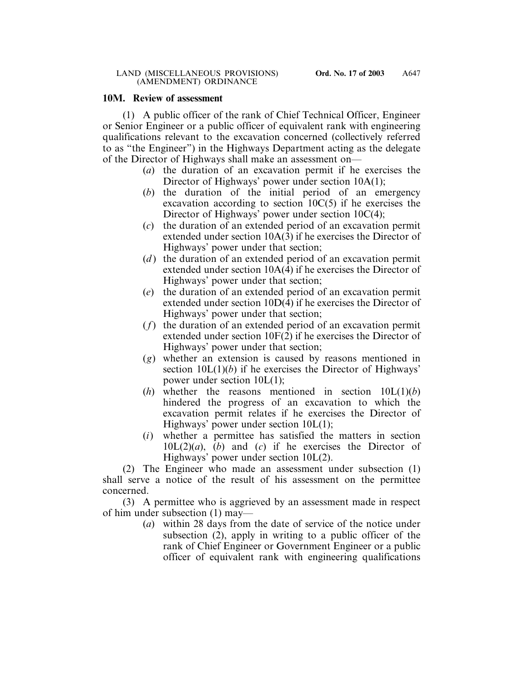### **10M. Review of assessment**

(1) A public officer of the rank of Chief Technical Officer, Engineer or Senior Engineer or a public officer of equivalent rank with engineering qualifications relevant to the excavation concerned (collectively referred to as "the Engineer") in the Highways Department acting as the delegate of the Director of Highways shall make an assessment on—

- (*a*) the duration of an excavation permit if he exercises the Director of Highways' power under section 10A(1);
- (*b*) the duration of the initial period of an emergency excavation according to section  $10C(5)$  if he exercises the Director of Highways' power under section 10C(4);
- (*c*) the duration of an extended period of an excavation permit extended under section 10A(3) if he exercises the Director of Highways' power under that section;
- (*d*) the duration of an extended period of an excavation permit extended under section 10A(4) if he exercises the Director of Highways' power under that section;
- (*e*) the duration of an extended period of an excavation permit extended under section 10D(4) if he exercises the Director of Highways' power under that section;
- (*f*) the duration of an extended period of an excavation permit extended under section 10F(2) if he exercises the Director of Highways' power under that section;
- (*g*) whether an extension is caused by reasons mentioned in section 10L(1)(*b*) if he exercises the Director of Highways' power under section 10L(1);
- (*h*) whether the reasons mentioned in section 10L(1)(*b*) hindered the progress of an excavation to which the excavation permit relates if he exercises the Director of Highways' power under section 10L(1);
- (*i*) whether a permittee has satisfied the matters in section 10L(2)(*a*), (*b*) and (*c*) if he exercises the Director of Highways' power under section 10L(2).

(2) The Engineer who made an assessment under subsection (1) shall serve a notice of the result of his assessment on the permittee concerned.

(3) A permittee who is aggrieved by an assessment made in respect of him under subsection (1) may—

(*a*) within 28 days from the date of service of the notice under subsection (2), apply in writing to a public officer of the rank of Chief Engineer or Government Engineer or a public officer of equivalent rank with engineering qualifications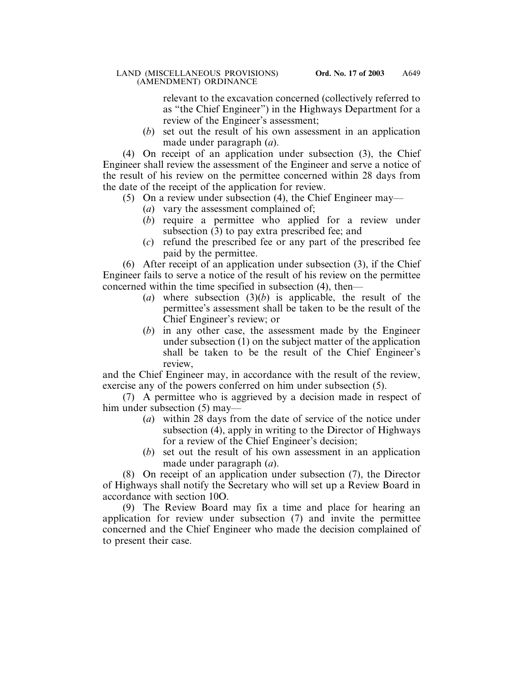relevant to the excavation concerned (collectively referred to as "the Chief Engineer") in the Highways Department for a review of the Engineer's assessment;

(*b*) set out the result of his own assessment in an application made under paragraph (*a*).

(4) On receipt of an application under subsection (3), the Chief Engineer shall review the assessment of the Engineer and serve a notice of the result of his review on the permittee concerned within 28 days from the date of the receipt of the application for review.

- (5) On a review under subsection (4), the Chief Engineer may—
	- (*a*) vary the assessment complained of;
	- (*b*) require a permittee who applied for a review under subsection (3) to pay extra prescribed fee; and
	- (*c*) refund the prescribed fee or any part of the prescribed fee paid by the permittee.

(6) After receipt of an application under subsection (3), if the Chief Engineer fails to serve a notice of the result of his review on the permittee concerned within the time specified in subsection (4), then—

- (*a*) where subsection (3)(*b*) is applicable, the result of the permittee's assessment shall be taken to be the result of the Chief Engineer's review; or
- (*b*) in any other case, the assessment made by the Engineer under subsection (1) on the subject matter of the application shall be taken to be the result of the Chief Engineer's review,

and the Chief Engineer may, in accordance with the result of the review, exercise any of the powers conferred on him under subsection (5).

(7) A permittee who is aggrieved by a decision made in respect of him under subsection (5) may—

- (*a*) within 28 days from the date of service of the notice under subsection (4), apply in writing to the Director of Highways for a review of the Chief Engineer's decision;
- (*b*) set out the result of his own assessment in an application made under paragraph (*a*).

(8) On receipt of an application under subsection (7), the Director of Highways shall notify the Secretary who will set up a Review Board in accordance with section 10O.

(9) The Review Board may fix a time and place for hearing an application for review under subsection (7) and invite the permittee concerned and the Chief Engineer who made the decision complained of to present their case.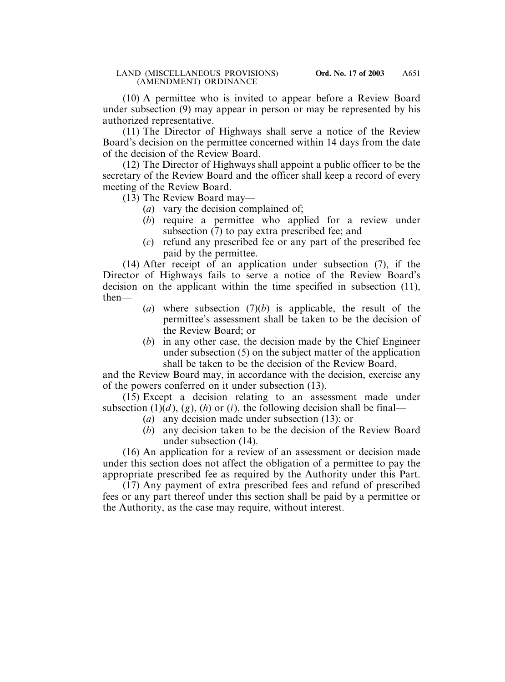(10) A permittee who is invited to appear before a Review Board under subsection (9) may appear in person or may be represented by his authorized representative.

(11) The Director of Highways shall serve a notice of the Review Board's decision on the permittee concerned within 14 days from the date of the decision of the Review Board.

(12) The Director of Highways shall appoint a public officer to be the secretary of the Review Board and the officer shall keep a record of every meeting of the Review Board.

(13) The Review Board may—

- (*a*) vary the decision complained of;
- (*b*) require a permittee who applied for a review under subsection (7) to pay extra prescribed fee; and
- (*c*) refund any prescribed fee or any part of the prescribed fee paid by the permittee.

(14) After receipt of an application under subsection (7), if the Director of Highways fails to serve a notice of the Review Board's decision on the applicant within the time specified in subsection (11), then—

- (*a*) where subsection (7)(*b*) is applicable, the result of the permittee's assessment shall be taken to be the decision of the Review Board; or
- (*b*) in any other case, the decision made by the Chief Engineer under subsection (5) on the subject matter of the application shall be taken to be the decision of the Review Board,

and the Review Board may, in accordance with the decision, exercise any of the powers conferred on it under subsection (13).

(15) Except a decision relating to an assessment made under subsection (1)(*d*), (*g*), (*h*) or (*i*), the following decision shall be final—

- (*a*) any decision made under subsection (13); or
- (*b*) any decision taken to be the decision of the Review Board under subsection (14).

(16) An application for a review of an assessment or decision made under this section does not affect the obligation of a permittee to pay the appropriate prescribed fee as required by the Authority under this Part.

(17) Any payment of extra prescribed fees and refund of prescribed fees or any part thereof under this section shall be paid by a permittee or the Authority, as the case may require, without interest.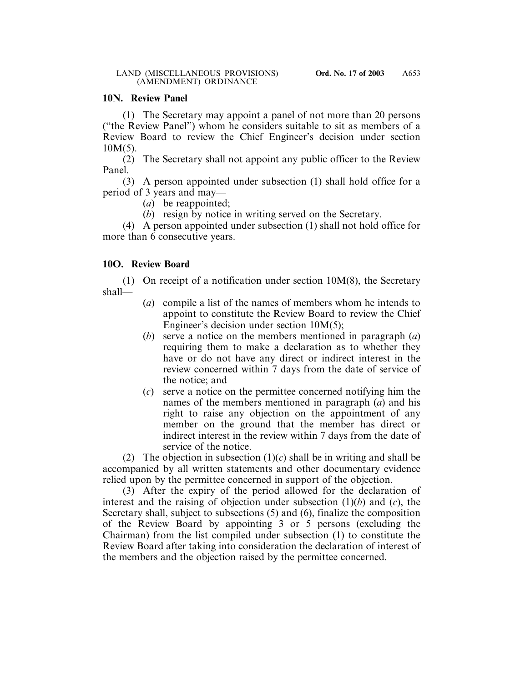### **10N. Review Panel**

(1) The Secretary may appoint a panel of not more than 20 persons ("the Review Panel") whom he considers suitable to sit as members of a Review Board to review the Chief Engineer's decision under section  $10M(5)$ .

(2) The Secretary shall not appoint any public officer to the Review Panel.

(3) A person appointed under subsection (1) shall hold office for a period of 3 years and may—

(*a*) be reappointed;

(*b*) resign by notice in writing served on the Secretary.

(4) A person appointed under subsection (1) shall not hold office for more than 6 consecutive years.

# **10O. Review Board**

(1) On receipt of a notification under section 10M(8), the Secretary shall—

- (*a*) compile a list of the names of members whom he intends to appoint to constitute the Review Board to review the Chief Engineer's decision under section 10M(5);
- (*b*) serve a notice on the members mentioned in paragraph (*a*) requiring them to make a declaration as to whether they have or do not have any direct or indirect interest in the review concerned within 7 days from the date of service of the notice; and
- (*c*) serve a notice on the permittee concerned notifying him the names of the members mentioned in paragraph (*a*) and his right to raise any objection on the appointment of any member on the ground that the member has direct or indirect interest in the review within 7 days from the date of service of the notice.

(2) The objection in subsection  $(1)(c)$  shall be in writing and shall be accompanied by all written statements and other documentary evidence relied upon by the permittee concerned in support of the objection.

(3) After the expiry of the period allowed for the declaration of interest and the raising of objection under subsection (1)(*b*) and (*c*), the Secretary shall, subject to subsections (5) and (6), finalize the composition of the Review Board by appointing 3 or 5 persons (excluding the Chairman) from the list compiled under subsection (1) to constitute the Review Board after taking into consideration the declaration of interest of the members and the objection raised by the permittee concerned.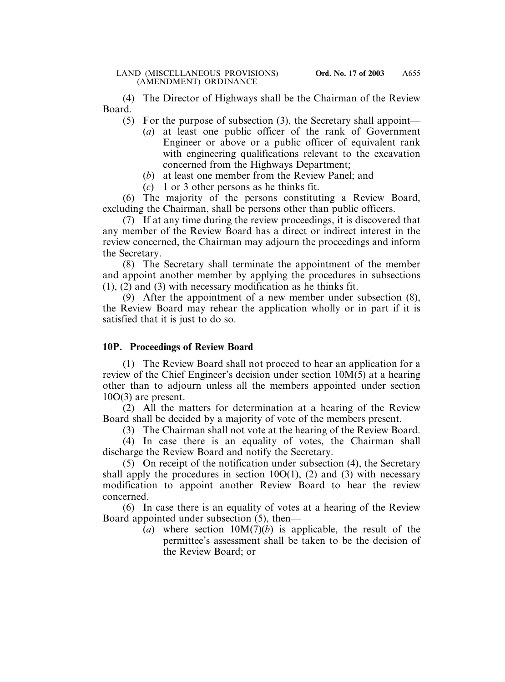(4) The Director of Highways shall be the Chairman of the Review Board.

- (5) For the purpose of subsection (3), the Secretary shall appoint—
	- (*a*) at least one public officer of the rank of Government Engineer or above or a public officer of equivalent rank with engineering qualifications relevant to the excavation concerned from the Highways Department;
	- (*b*) at least one member from the Review Panel; and
	- (*c*) 1 or 3 other persons as he thinks fit.

(6) The majority of the persons constituting a Review Board, excluding the Chairman, shall be persons other than public officers.

(7) If at any time during the review proceedings, it is discovered that any member of the Review Board has a direct or indirect interest in the review concerned, the Chairman may adjourn the proceedings and inform the Secretary.

(8) The Secretary shall terminate the appointment of the member and appoint another member by applying the procedures in subsections (1), (2) and (3) with necessary modification as he thinks fit.

(9) After the appointment of a new member under subsection (8), the Review Board may rehear the application wholly or in part if it is satisfied that it is just to do so.

# **10P. Proceedings of Review Board**

(1) The Review Board shall not proceed to hear an application for a review of the Chief Engineer's decision under section 10M(5) at a hearing other than to adjourn unless all the members appointed under section 10O(3) are present.

(2) All the matters for determination at a hearing of the Review Board shall be decided by a majority of vote of the members present.

(3) The Chairman shall not vote at the hearing of the Review Board.

(4) In case there is an equality of votes, the Chairman shall discharge the Review Board and notify the Secretary.

(5) On receipt of the notification under subsection (4), the Secretary shall apply the procedures in section  $10O(1)$ , (2) and (3) with necessary modification to appoint another Review Board to hear the review concerned.

(6) In case there is an equality of votes at a hearing of the Review Board appointed under subsection (5), then—

(*a*) where section 10M(7)(*b*) is applicable, the result of the permittee's assessment shall be taken to be the decision of the Review Board; or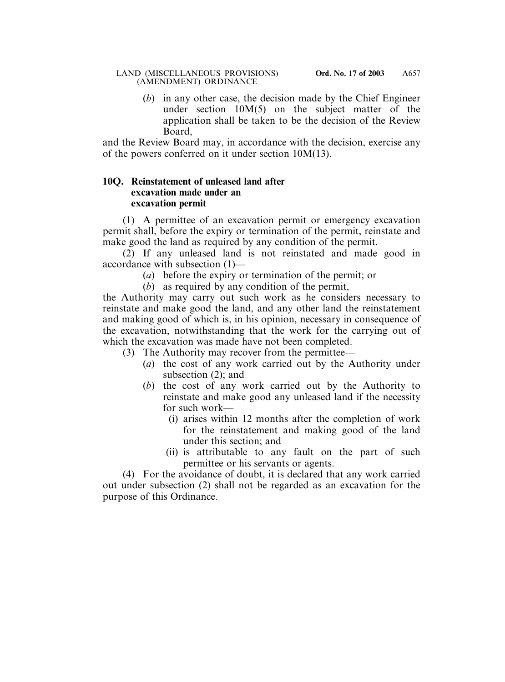(*b*) in any other case, the decision made by the Chief Engineer under section 10M(5) on the subject matter of the application shall be taken to be the decision of the Review Board,

and the Review Board may, in accordance with the decision, exercise any of the powers conferred on it under section 10M(13).

### **10Q. Reinstatement of unleased land after excavation made under an excavation permit**

(1) A permittee of an excavation permit or emergency excavation permit shall, before the expiry or termination of the permit, reinstate and make good the land as required by any condition of the permit.

(2) If any unleased land is not reinstated and made good in accordance with subsection (1)—

- (*a*) before the expiry or termination of the permit; or
- (*b*) as required by any condition of the permit,

the Authority may carry out such work as he considers necessary to reinstate and make good the land, and any other land the reinstatement and making good of which is, in his opinion, necessary in consequence of the excavation, notwithstanding that the work for the carrying out of which the excavation was made have not been completed.

- (3) The Authority may recover from the permittee—
	- (*a*) the cost of any work carried out by the Authority under subsection (2); and
	- (*b*) the cost of any work carried out by the Authority to reinstate and make good any unleased land if the necessity for such work—
		- (i) arises within 12 months after the completion of work for the reinstatement and making good of the land under this section; and
		- (ii) is attributable to any fault on the part of such permittee or his servants or agents.

(4) For the avoidance of doubt, it is declared that any work carried out under subsection (2) shall not be regarded as an excavation for the purpose of this Ordinance.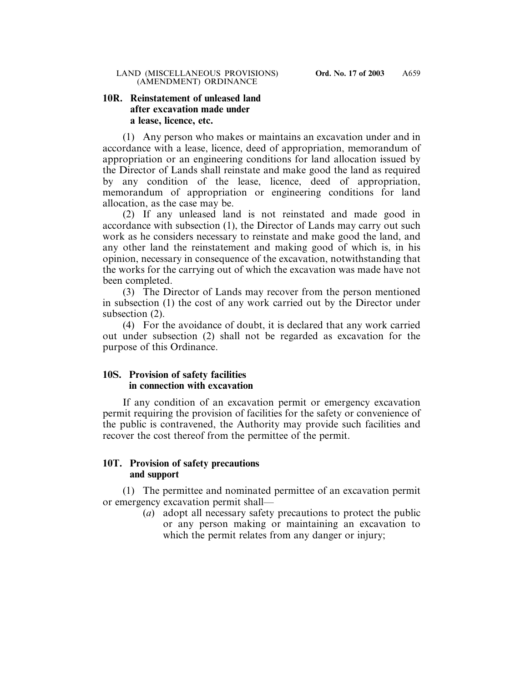### **10R. Reinstatement of unleased land after excavation made under a lease, licence, etc.**

(1) Any person who makes or maintains an excavation under and in accordance with a lease, licence, deed of appropriation, memorandum of appropriation or an engineering conditions for land allocation issued by the Director of Lands shall reinstate and make good the land as required by any condition of the lease, licence, deed of appropriation, memorandum of appropriation or engineering conditions for land allocation, as the case may be.

(2) If any unleased land is not reinstated and made good in accordance with subsection (1), the Director of Lands may carry out such work as he considers necessary to reinstate and make good the land, and any other land the reinstatement and making good of which is, in his opinion, necessary in consequence of the excavation, notwithstanding that the works for the carrying out of which the excavation was made have not been completed.

(3) The Director of Lands may recover from the person mentioned in subsection (1) the cost of any work carried out by the Director under subsection  $(2)$ .

(4) For the avoidance of doubt, it is declared that any work carried out under subsection (2) shall not be regarded as excavation for the purpose of this Ordinance.

### **10S. Provision of safety facilities in connection with excavation**

If any condition of an excavation permit or emergency excavation permit requiring the provision of facilities for the safety or convenience of the public is contravened, the Authority may provide such facilities and recover the cost thereof from the permittee of the permit.

### **10T. Provision of safety precautions and support**

(1) The permittee and nominated permittee of an excavation permit or emergency excavation permit shall—

(*a*) adopt all necessary safety precautions to protect the public or any person making or maintaining an excavation to which the permit relates from any danger or injury;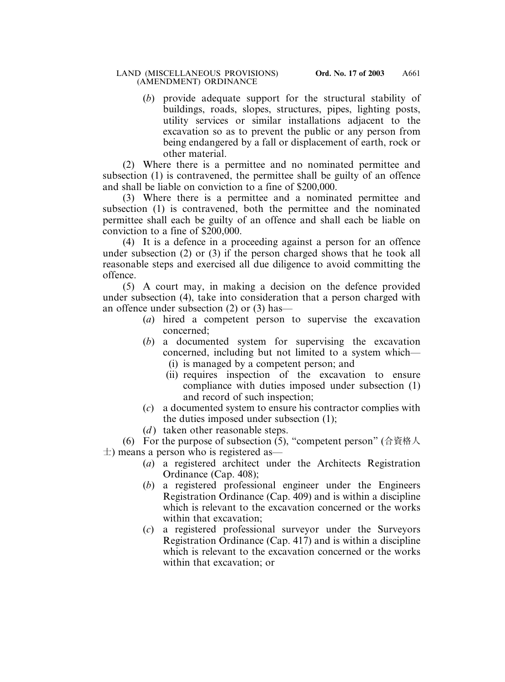(*b*) provide adequate support for the structural stability of buildings, roads, slopes, structures, pipes, lighting posts, utility services or similar installations adjacent to the excavation so as to prevent the public or any person from being endangered by a fall or displacement of earth, rock or other material.

(2) Where there is a permittee and no nominated permittee and subsection (1) is contravened, the permittee shall be guilty of an offence and shall be liable on conviction to a fine of \$200,000.

(3) Where there is a permittee and a nominated permittee and subsection (1) is contravened, both the permittee and the nominated permittee shall each be guilty of an offence and shall each be liable on conviction to a fine of \$200,000.

(4) It is a defence in a proceeding against a person for an offence under subsection (2) or (3) if the person charged shows that he took all reasonable steps and exercised all due diligence to avoid committing the offence.

(5) A court may, in making a decision on the defence provided under subsection (4), take into consideration that a person charged with an offence under subsection (2) or (3) has—

- (*a*) hired a competent person to supervise the excavation concerned;
- (*b*) a documented system for supervising the excavation concerned, including but not limited to a system which— (i) is managed by a competent person; and
	- (ii) requires inspection of the excavation to ensure compliance with duties imposed under subsection (1) and record of such inspection;
- (*c*) a documented system to ensure his contractor complies with the duties imposed under subsection (1);
- (*d*) taken other reasonable steps.

(6) For the purpose of subsection (5), "competent person" (合資格人  $\pm$ ) means a person who is registered as—

- (*a*) a registered architect under the Architects Registration Ordinance (Cap. 408);
- (*b*) a registered professional engineer under the Engineers Registration Ordinance (Cap. 409) and is within a discipline which is relevant to the excavation concerned or the works within that excavation;
- (*c*) a registered professional surveyor under the Surveyors Registration Ordinance (Cap. 417) and is within a discipline which is relevant to the excavation concerned or the works within that excavation; or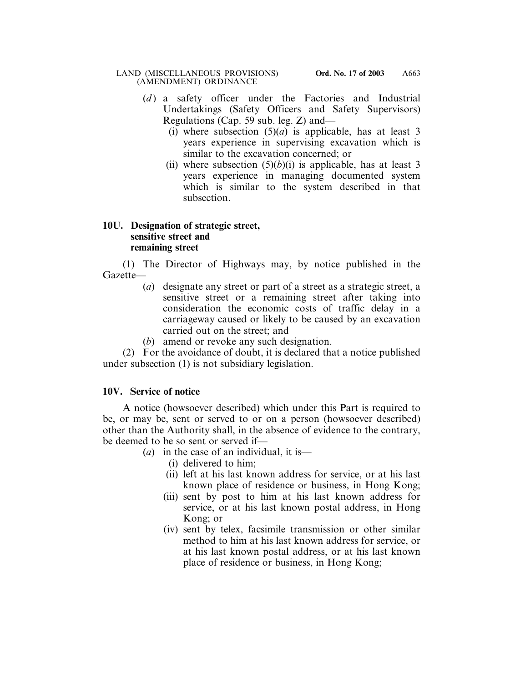- (*d*) a safety officer under the Factories and Industrial Undertakings (Safety Officers and Safety Supervisors) Regulations (Cap. 59 sub. leg. Z) and—
	- (i) where subsection  $(5)(a)$  is applicable, has at least 3 years experience in supervising excavation which is similar to the excavation concerned; or
	- (ii) where subsection  $(5)(b)(i)$  is applicable, has at least 3 years experience in managing documented system which is similar to the system described in that subsection.

### **10U. Designation of strategic street, sensitive street and remaining street**

(1) The Director of Highways may, by notice published in the Gazette—

- (*a*) designate any street or part of a street as a strategic street, a sensitive street or a remaining street after taking into consideration the economic costs of traffic delay in a carriageway caused or likely to be caused by an excavation carried out on the street; and
- (*b*) amend or revoke any such designation.

(2) For the avoidance of doubt, it is declared that a notice published under subsection (1) is not subsidiary legislation.

# **10V. Service of notice**

A notice (howsoever described) which under this Part is required to be, or may be, sent or served to or on a person (howsoever described) other than the Authority shall, in the absence of evidence to the contrary, be deemed to be so sent or served if—

(*a*) in the case of an individual, it is—

- (i) delivered to him;
- (ii) left at his last known address for service, or at his last known place of residence or business, in Hong Kong;
- (iii) sent by post to him at his last known address for service, or at his last known postal address, in Hong Kong; or
- (iv) sent by telex, facsimile transmission or other similar method to him at his last known address for service, or at his last known postal address, or at his last known place of residence or business, in Hong Kong;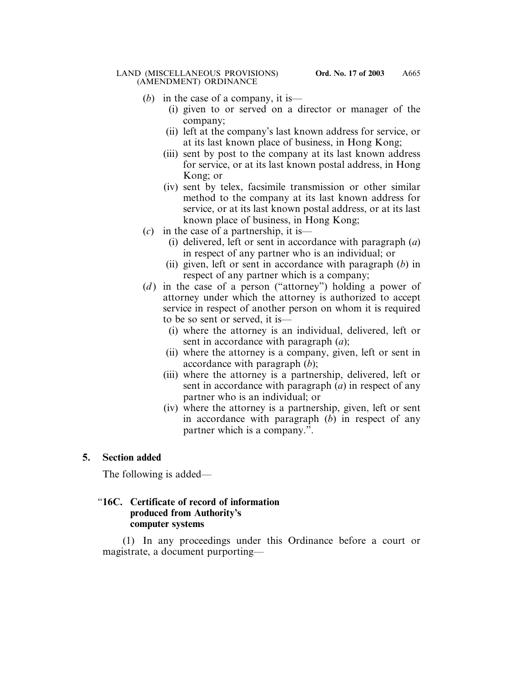- (*b*) in the case of a company, it is—
	- (i) given to or served on a director or manager of the company;
	- (ii) left at the company's last known address for service, or at its last known place of business, in Hong Kong;
	- (iii) sent by post to the company at its last known address for service, or at its last known postal address, in Hong Kong; or
	- (iv) sent by telex, facsimile transmission or other similar method to the company at its last known address for service, or at its last known postal address, or at its last known place of business, in Hong Kong;
- (*c*) in the case of a partnership, it is—
	- (i) delivered, left or sent in accordance with paragraph (*a*) in respect of any partner who is an individual; or
	- (ii) given, left or sent in accordance with paragraph (*b*) in respect of any partner which is a company;
- (*d*) in the case of a person ("attorney") holding a power of attorney under which the attorney is authorized to accept service in respect of another person on whom it is required to be so sent or served, it is—
	- (i) where the attorney is an individual, delivered, left or sent in accordance with paragraph (*a*);
	- (ii) where the attorney is a company, given, left or sent in accordance with paragraph (*b*);
	- (iii) where the attorney is a partnership, delivered, left or sent in accordance with paragraph (*a*) in respect of any partner who is an individual; or
	- (iv) where the attorney is a partnership, given, left or sent in accordance with paragraph (*b*) in respect of any partner which is a company.".

# **5. Section added**

The following is added—

### "**16C. Certificate of record of information produced from Authority's computer systems**

(1) In any proceedings under this Ordinance before a court or magistrate, a document purporting—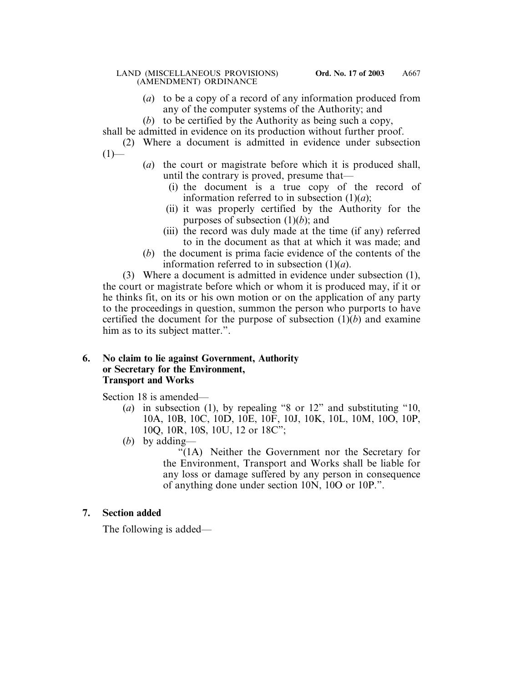- (*a*) to be a copy of a record of any information produced from any of the computer systems of the Authority; and
- (*b*) to be certified by the Authority as being such a copy,

shall be admitted in evidence on its production without further proof.

(2) Where a document is admitted in evidence under subsection  $(1)$ —

- (*a*) the court or magistrate before which it is produced shall, until the contrary is proved, presume that—
	- (i) the document is a true copy of the record of information referred to in subsection  $(1)(a)$ ;
	- (ii) it was properly certified by the Authority for the purposes of subsection (1)(*b*); and
	- (iii) the record was duly made at the time (if any) referred to in the document as that at which it was made; and
- (*b*) the document is prima facie evidence of the contents of the information referred to in subsection (1)(*a*).

(3) Where a document is admitted in evidence under subsection (1), the court or magistrate before which or whom it is produced may, if it or he thinks fit, on its or his own motion or on the application of any party to the proceedings in question, summon the person who purports to have certified the document for the purpose of subsection (1)(*b*) and examine him as to its subject matter.".

### **6. No claim to lie against Government, Authority or Secretary for the Environment, Transport and Works**

Section 18 is amended—

- (*a*) in subsection (1), by repealing "8 or 12" and substituting "10, 10A, 10B, 10C, 10D, 10E, 10F, 10J, 10K, 10L, 10M, 10O, 10P, 10Q, 10R, 10S, 10U, 12 or 18C";
- (*b*) by adding—

"(1A) Neither the Government nor the Secretary for the Environment, Transport and Works shall be liable for any loss or damage suffered by any person in consequence of anything done under section 10N, 10O or 10P.".

# **7. Section added**

The following is added—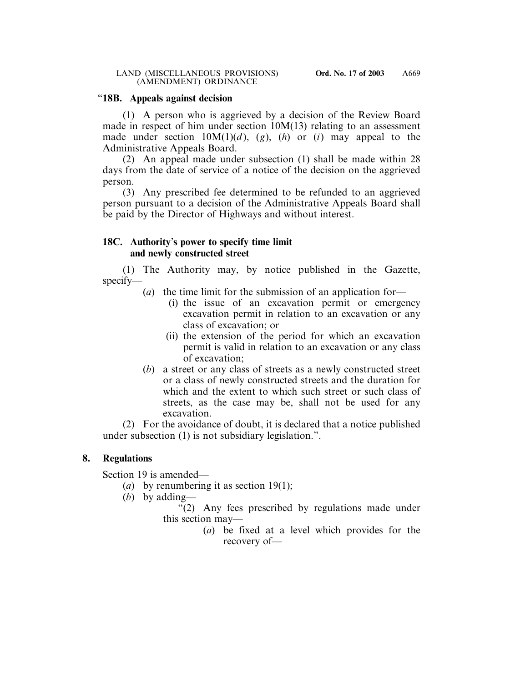### "**18B. Appeals against decision**

(1) A person who is aggrieved by a decision of the Review Board made in respect of him under section 10M(13) relating to an assessment made under section  $10M(1)(d)$ , (g), (h) or (i) may appeal to the Administrative Appeals Board.

(2) An appeal made under subsection (1) shall be made within 28 days from the date of service of a notice of the decision on the aggrieved person.

(3) Any prescribed fee determined to be refunded to an aggrieved person pursuant to a decision of the Administrative Appeals Board shall be paid by the Director of Highways and without interest.

### **18C. Authority**'**s power to specify time limit and newly constructed street**

(1) The Authority may, by notice published in the Gazette, specify—

- (*a*) the time limit for the submission of an application for—
	- (i) the issue of an excavation permit or emergency excavation permit in relation to an excavation or any class of excavation; or
	- (ii) the extension of the period for which an excavation permit is valid in relation to an excavation or any class of excavation;
- (*b*) a street or any class of streets as a newly constructed street or a class of newly constructed streets and the duration for which and the extent to which such street or such class of streets, as the case may be, shall not be used for any excavation.

(2) For the avoidance of doubt, it is declared that a notice published under subsection (1) is not subsidiary legislation.".

# **8. Regulations**

Section 19 is amended—

- (*a*) by renumbering it as section 19(1);
- (*b*) by adding—

"(2) Any fees prescribed by regulations made under this section may—

(*a*) be fixed at a level which provides for the recovery of—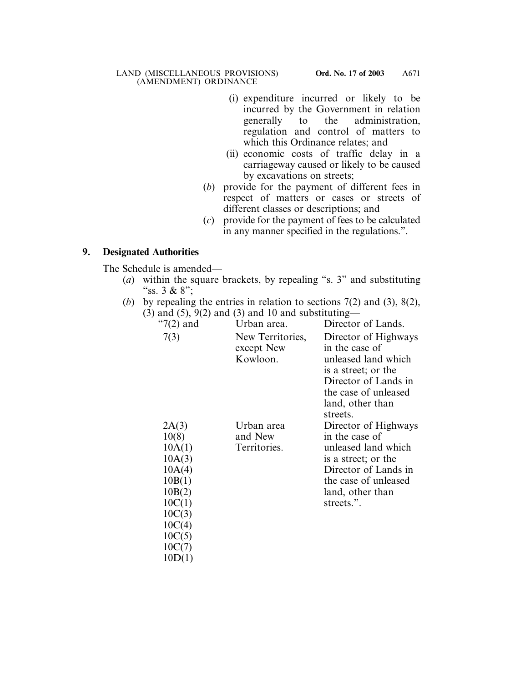- (i) expenditure incurred or likely to be incurred by the Government in relation generally to the administration, regulation and control of matters to which this Ordinance relates; and
- (ii) economic costs of traffic delay in a carriageway caused or likely to be caused by excavations on streets;
- (*b*) provide for the payment of different fees in respect of matters or cases or streets of different classes or descriptions; and
- (*c*) provide for the payment of fees to be calculated in any manner specified in the regulations.".

# **9. Designated Authorities**

The Schedule is amended—

- (*a*) within the square brackets, by repealing "s. 3" and substituting "ss.  $3 & 8$ ":
- (*b*) by repealing the entries in relation to sections 7(2) and (3), 8(2),  $(3)$  and  $(5)$ ,  $9(2)$  and  $(3)$  and 10 and substituting—

| " $7(2)$ and | Urban area.                    | Director of Lands.                     |
|--------------|--------------------------------|----------------------------------------|
| 7(3)         | New Territories,<br>except New | Director of Highways<br>in the case of |
|              | Kowloon.                       | unleased land which                    |
|              |                                | is a street; or the                    |
|              |                                | Director of Lands in                   |
|              |                                | the case of unleased                   |
|              |                                | land, other than                       |
|              |                                | streets.                               |
| 2A(3)        | Urban area                     | Director of Highways                   |
| 10(8)        | and New                        | in the case of                         |
| 10A(1)       | Territories.                   | unleased land which                    |
| 10A(3)       |                                | is a street; or the                    |
| 10A(4)       |                                | Director of Lands in                   |
| 10B(1)       |                                | the case of unleased                   |
| 10B(2)       |                                | land, other than                       |
| 10C(1)       |                                | streets.".                             |
| 10C(3)       |                                |                                        |
| 10C(4)       |                                |                                        |
| 10C(5)       |                                |                                        |
| 10C(7)       |                                |                                        |
| 10D(1)       |                                |                                        |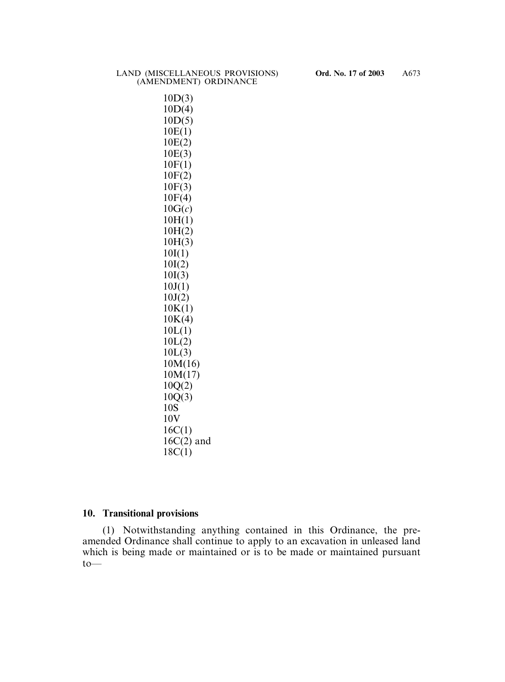10D(3) 10D(4) 10D(5) 10E(1) 10E(2) 10E(3) 10F(1) 10F(2) 10F(3) 10F(4) 10G(*c*) 10H(1) 10H(2) 10H(3) 10I(1) 10I(2) 10I(3)  $10J(1)$  $10J(2)$  $10K(1)$  $10K(4)$  $10L(1)$  $10L(2)$  $10L(3)$ 10M(16) 10M(17) 10Q(2)  $10Q(3)$ 10S 10V 16C(1)  $16C(2)$  and 18C(1)

#### **10. Transitional provisions**

(1) Notwithstanding anything contained in this Ordinance, the preamended Ordinance shall continue to apply to an excavation in unleased land which is being made or maintained or is to be made or maintained pursuant to—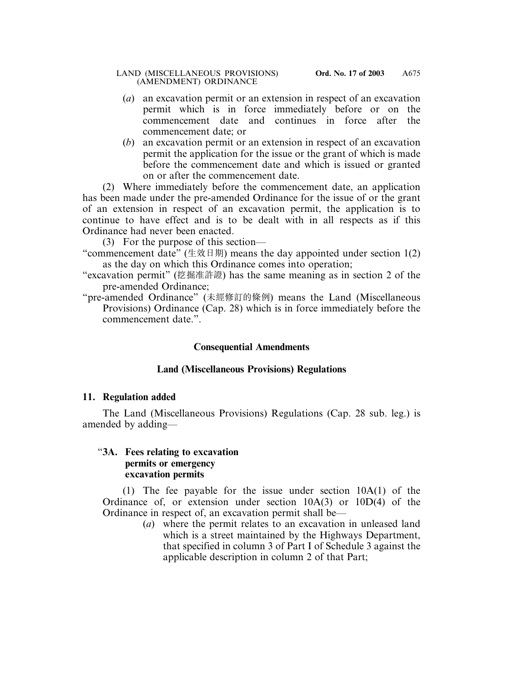- (*a*) an excavation permit or an extension in respect of an excavation permit which is in force immediately before or on the commencement date and continues in force after the commencement date; or
- (*b*) an excavation permit or an extension in respect of an excavation permit the application for the issue or the grant of which is made before the commencement date and which is issued or granted on or after the commencement date.

(2) Where immediately before the commencement date, an application has been made under the pre-amended Ordinance for the issue of or the grant of an extension in respect of an excavation permit, the application is to continue to have effect and is to be dealt with in all respects as if this Ordinance had never been enacted.

(3) For the purpose of this section—

- "commencement date" (生效日期) means the day appointed under section  $1(2)$ as the day on which this Ordinance comes into operation;
- "excavation permit" (挖掘准許證) has the same meaning as in section 2 of the pre-amended Ordinance;
- "pre-amended Ordinance" (未經修訂的條例) means the Land (Miscellaneous Provisions) Ordinance (Cap. 28) which is in force immediately before the commencement date.".

# **Consequential Amendments**

# **Land (Miscellaneous Provisions) Regulations**

# **11. Regulation added**

The Land (Miscellaneous Provisions) Regulations (Cap. 28 sub. leg.) is amended by adding—

### "**3A. Fees relating to excavation permits or emergency excavation permits**

(1) The fee payable for the issue under section 10A(1) of the Ordinance of, or extension under section 10A(3) or 10D(4) of the Ordinance in respect of, an excavation permit shall be—

(*a*) where the permit relates to an excavation in unleased land which is a street maintained by the Highways Department, that specified in column 3 of Part I of Schedule 3 against the applicable description in column 2 of that Part;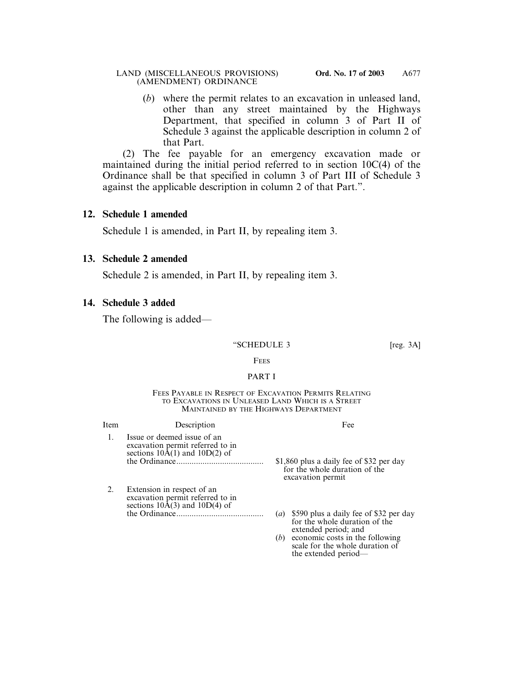(*b*) where the permit relates to an excavation in unleased land, other than any street maintained by the Highways Department, that specified in column 3 of Part II of Schedule 3 against the applicable description in column 2 of that Part.

(2) The fee payable for an emergency excavation made or maintained during the initial period referred to in section 10C(4) of the Ordinance shall be that specified in column 3 of Part III of Schedule 3 against the applicable description in column 2 of that Part.".

# **12. Schedule 1 amended**

Schedule 1 is amended, in Part II, by repealing item 3.

# **13. Schedule 2 amended**

Schedule 2 is amended, in Part II, by repealing item 3.

# **14. Schedule 3 added**

The following is added—

### "SCHEDULE 3 [reg. 3A]

### **FEES**

### PART I

#### FEES PAYABLE IN RESPECT OF EXCAVATION PERMITS RELATING TO EXCAVATIONS IN UNLEASED LAND WHICH IS A STREET MAINTAINED BY THE HIGHWAYS DEPARTMENT

| Item | Description                                                                                          | Fee                                                                                                                                                                                                     |
|------|------------------------------------------------------------------------------------------------------|---------------------------------------------------------------------------------------------------------------------------------------------------------------------------------------------------------|
|      | Issue or deemed issue of an<br>excavation permit referred to in<br>sections $10A(1)$ and $10D(2)$ of | \$1,860 plus a daily fee of \$32 per day<br>for the whole duration of the<br>excavation permit                                                                                                          |
|      | Extension in respect of an<br>excavation permit referred to in<br>sections $10A(3)$ and $10D(4)$ of  | (a) \$590 plus a daily fee of \$32 per day<br>for the whole duration of the<br>extended period; and<br>$(b)$ economic costs in the following<br>scale for the whole duration of<br>the extended period— |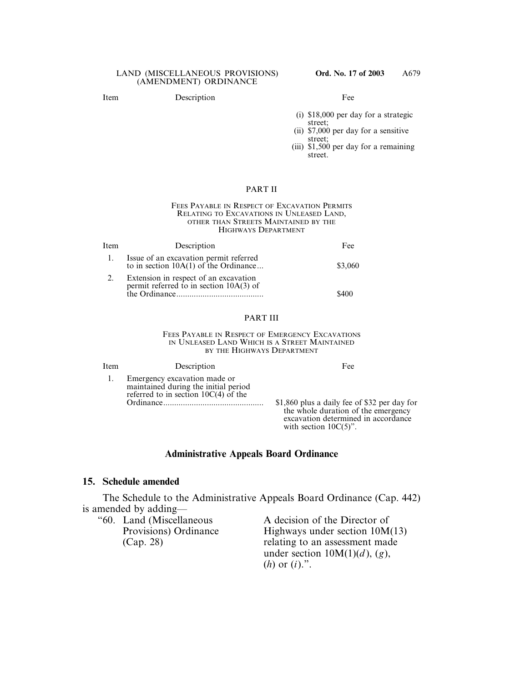#### Item Description Fee

- (i) \$18,000 per day for a strategic street;
- (ii) \$7,000 per day for a sensitive street;
- (iii) \$1,500 per day for a remaining street.

#### PART II

#### FEES PAYABLE IN RESPECT OF EXCAVATION PERMITS RELATING TO EXCAVATIONS IN UNLEASED LAND, OTHER THAN STREETS MAINTAINED BY THE HIGHWAYS DEPARTMENT

| Item | Description                                                                        | Fee     |
|------|------------------------------------------------------------------------------------|---------|
|      | Issue of an excavation permit referred<br>to in section $10A(1)$ of the Ordinance  | \$3,060 |
|      | Extension in respect of an excavation<br>permit referred to in section $10A(3)$ of | \$400   |

### PART III

FEES PAYABLE IN RESPECT OF EMERGENCY EXCAVATIONS IN UNLEASED LAND WHICH IS A STREET MAINTAINED BY THE HIGHWAYS DEPARTMENT

| Item | Description                                                                                                    | Fee                                                                                                                                                    |
|------|----------------------------------------------------------------------------------------------------------------|--------------------------------------------------------------------------------------------------------------------------------------------------------|
|      | Emergency excavation made or<br>maintained during the initial period<br>referred to in section $10C(4)$ of the | \$1,860 plus a daily fee of \$32 per day for<br>the whole duration of the emergency<br>excavation determined in accordance<br>with section $10C(5)$ ". |

### **Administrative Appeals Board Ordinance**

### **15. Schedule amended**

The Schedule to the Administrative Appeals Board Ordinance (Cap. 442) is amended by adding—

"60. Land (Miscellaneous A decision of the Director of Provisions) Ordinance Highways under section 10M(13) (Cap. 28) relating to an assessment made under section 10M(1)(*d* ), (*g*), (*h*) or (*i*).".